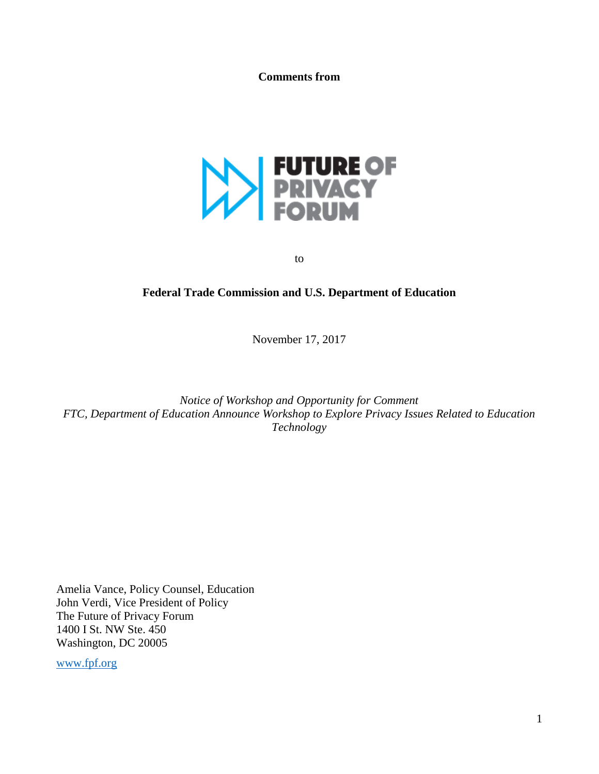**Comments from**



to

### **Federal Trade Commission and U.S. Department of Education**

November 17, 2017

*Notice of Workshop and Opportunity for Comment FTC, Department of Education Announce Workshop to Explore Privacy Issues Related to Education Technology*

Amelia Vance, Policy Counsel, Education John Verdi, Vice President of Policy The Future of Privacy Forum 1400 I St. NW Ste. 450 Washington, DC 20005

[www.fpf.org](http://www.fpf.org/)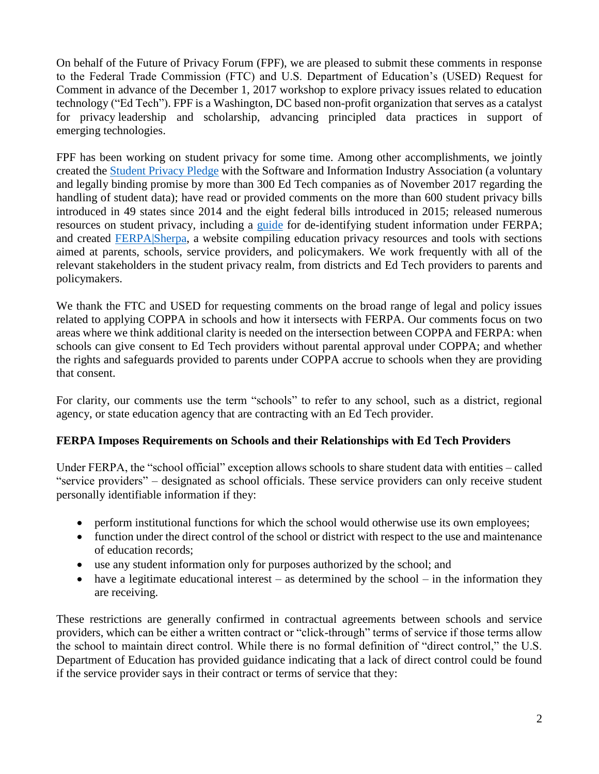On behalf of the Future of Privacy Forum (FPF), we are pleased to submit these comments in response to the Federal Trade Commission (FTC) and U.S. Department of Education's (USED) Request for Comment in advance of the December 1, 2017 workshop to explore privacy issues related to education technology ("Ed Tech"). FPF is a Washington, DC based non-profit organization that serves as a catalyst for privacy leadership and scholarship, advancing principled data practices in support of emerging technologies.

FPF has been working on student privacy for some time. Among other accomplishments, we jointly created the [Student Privacy Pledge](https://studentprivacypledge.org/) with the Software and Information Industry Association (a voluntary and legally binding promise by more than 300 Ed Tech companies as of November 2017 regarding the handling of student data); have read or provided comments on the more than 600 student privacy bills introduced in 49 states since 2014 and the eight federal bills introduced in 2015; released numerous resources on student privacy, including a [guide](https://ferpasherpa.org/resource/student-data-and-de-identification-understanding-de-identification-of-education-records-and-related-requirements-of-ferpa/) for de-identifying student information under FERPA; and created [FERPA|Sherpa,](https://ferpasherpa.org/) a website compiling education privacy resources and tools with sections aimed at parents, schools, service providers, and policymakers. We work frequently with all of the relevant stakeholders in the student privacy realm, from districts and Ed Tech providers to parents and policymakers.

We thank the FTC and USED for requesting comments on the broad range of legal and policy issues related to applying COPPA in schools and how it intersects with FERPA. Our comments focus on two areas where we think additional clarity is needed on the intersection between COPPA and FERPA: when schools can give consent to Ed Tech providers without parental approval under COPPA; and whether the rights and safeguards provided to parents under COPPA accrue to schools when they are providing that consent.

For clarity, our comments use the term "schools" to refer to any school, such as a district, regional agency, or state education agency that are contracting with an Ed Tech provider.

# **FERPA Imposes Requirements on Schools and their Relationships with Ed Tech Providers**

Under FERPA, the "school official" exception allows schools to share student data with entities – called "service providers" – designated as school officials. These service providers can only receive student personally identifiable information if they:

- perform institutional functions for which the school would otherwise use its own employees;
- function under the direct control of the school or district with respect to the use and maintenance of education records;
- use any student information only for purposes authorized by the school; and
- have a legitimate educational interest as determined by the school in the information they are receiving.

These restrictions are generally confirmed in contractual agreements between schools and service providers, which can be either a written contract or "click-through" terms of service if those terms allow the school to maintain direct control. While there is no formal definition of "direct control," the U.S. Department of Education has provided guidance indicating that a lack of direct control could be found if the service provider says in their contract or terms of service that they: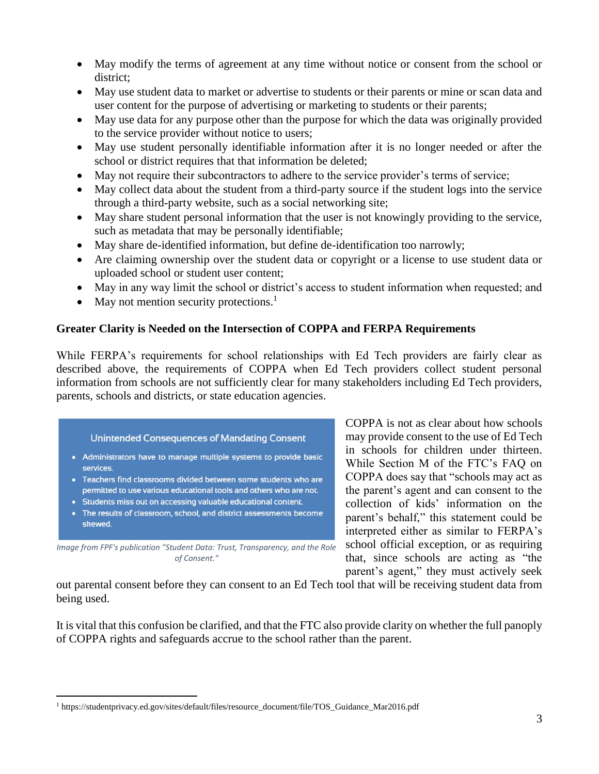- May modify the terms of agreement at any time without notice or consent from the school or district;
- May use student data to market or advertise to students or their parents or mine or scan data and user content for the purpose of advertising or marketing to students or their parents;
- May use data for any purpose other than the purpose for which the data was originally provided to the service provider without notice to users;
- May use student personally identifiable information after it is no longer needed or after the school or district requires that that information be deleted;
- May not require their subcontractors to adhere to the service provider's terms of service;
- May collect data about the student from a third-party source if the student logs into the service through a third-party website, such as a social networking site;
- May share student personal information that the user is not knowingly providing to the service, such as metadata that may be personally identifiable;
- May share de-identified information, but define de-identification too narrowly;
- Are claiming ownership over the student data or copyright or a license to use student data or uploaded school or student user content;
- May in any way limit the school or district's access to student information when requested; and
- May not mention security protections.<sup>1</sup>

# **Greater Clarity is Needed on the Intersection of COPPA and FERPA Requirements**

While FERPA's requirements for school relationships with Ed Tech providers are fairly clear as described above, the requirements of COPPA when Ed Tech providers collect student personal information from schools are not sufficiently clear for many stakeholders including Ed Tech providers, parents, schools and districts, or state education agencies.

#### Unintended Consequences of Mandating Consent

- Administrators have to manage multiple systems to provide basic services.
- . Teachers find classrooms divided between some students who are permitted to use various educational tools and others who are not.
- Students miss out on accessing valuable educational content.

 $\overline{a}$ 

. The results of classroom, school, and district assessments become skewed.

*Image from FPF's publication "Student Data: Trust, Transparency, and the Role of Consent."*

COPPA is not as clear about how schools may provide consent to the use of Ed Tech in schools for children under thirteen. While Section M of the FTC's FAQ on COPPA does say that "schools may act as the parent's agent and can consent to the collection of kids' information on the parent's behalf," this statement could be interpreted either as similar to FERPA's school official exception, or as requiring that, since schools are acting as "the parent's agent," they must actively seek

out parental consent before they can consent to an Ed Tech tool that will be receiving student data from being used.

It is vital that this confusion be clarified, and that the FTC also provide clarity on whether the full panoply of COPPA rights and safeguards accrue to the school rather than the parent.

<sup>&</sup>lt;sup>1</sup> https://studentprivacy.ed.gov/sites/default/files/resource\_document/file/TOS\_Guidance\_Mar2016.pdf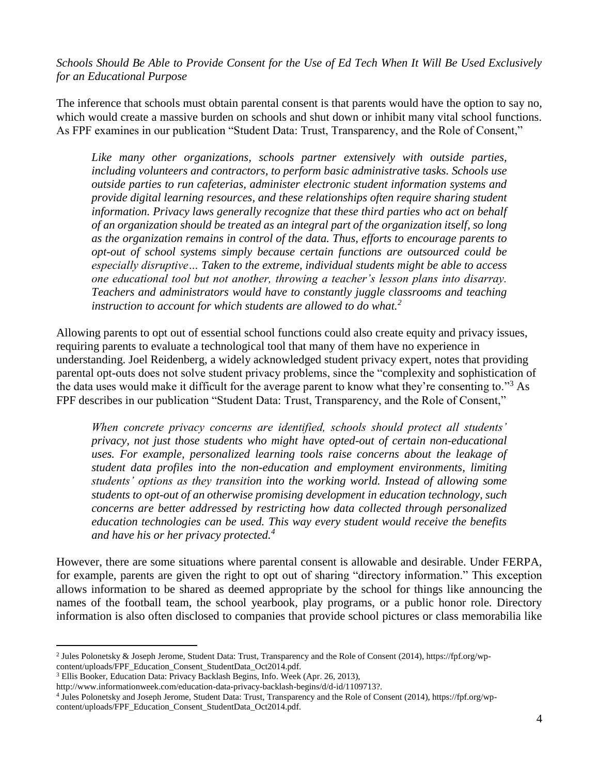*Schools Should Be Able to Provide Consent for the Use of Ed Tech When It Will Be Used Exclusively for an Educational Purpose*

The inference that schools must obtain parental consent is that parents would have the option to say no, which would create a massive burden on schools and shut down or inhibit many vital school functions. As FPF examines in our publication "Student Data: Trust, Transparency, and the Role of Consent,"

*Like many other organizations, schools partner extensively with outside parties, including volunteers and contractors, to perform basic administrative tasks. Schools use outside parties to run cafeterias, administer electronic student information systems and provide digital learning resources, and these relationships often require sharing student information. Privacy laws generally recognize that these third parties who act on behalf of an organization should be treated as an integral part of the organization itself, so long as the organization remains in control of the data. Thus, efforts to encourage parents to opt-out of school systems simply because certain functions are outsourced could be especially disruptive… Taken to the extreme, individual students might be able to access one educational tool but not another, throwing a teacher's lesson plans into disarray. Teachers and administrators would have to constantly juggle classrooms and teaching instruction to account for which students are allowed to do what.<sup>2</sup>*

Allowing parents to opt out of essential school functions could also create equity and privacy issues, requiring parents to evaluate a technological tool that many of them have no experience in understanding. Joel Reidenberg, a widely acknowledged student privacy expert, notes that providing parental opt-outs does not solve student privacy problems, since the "complexity and sophistication of the data uses would make it difficult for the average parent to know what they're consenting to."<sup>3</sup> As FPF describes in our publication "Student Data: Trust, Transparency, and the Role of Consent,"

*When concrete privacy concerns are identified, schools should protect all students' privacy, not just those students who might have opted-out of certain non-educational uses. For example, personalized learning tools raise concerns about the leakage of student data profiles into the non-education and employment environments, limiting students' options as they transition into the working world. Instead of allowing some students to opt-out of an otherwise promising development in education technology, such concerns are better addressed by restricting how data collected through personalized education technologies can be used. This way every student would receive the benefits and have his or her privacy protected.<sup>4</sup>*

However, there are some situations where parental consent is allowable and desirable. Under FERPA, for example, parents are given the right to opt out of sharing "directory information." This exception allows information to be shared as deemed appropriate by the school for things like announcing the names of the football team, the school yearbook, play programs, or a public honor role. Directory information is also often disclosed to companies that provide school pictures or class memorabilia like

 $\overline{a}$ 2 Jules Polonetsky & Joseph Jerome, Student Data: Trust, Transparency and the Role of Consent (2014), https://fpf.org/wpcontent/uploads/FPF\_Education\_Consent\_StudentData\_Oct2014.pdf.

<sup>3</sup> Ellis Booker, Education Data: Privacy Backlash Begins, Info. Week (Apr. 26, 2013),

http://www.informationweek.com/education-data-privacy-backlash-begins/d/d-id/1109713?.

<sup>4</sup> Jules Polonetsky and Joseph Jerome, Student Data: Trust, Transparency and the Role of Consent (2014), https://fpf.org/wpcontent/uploads/FPF\_Education\_Consent\_StudentData\_Oct2014.pdf.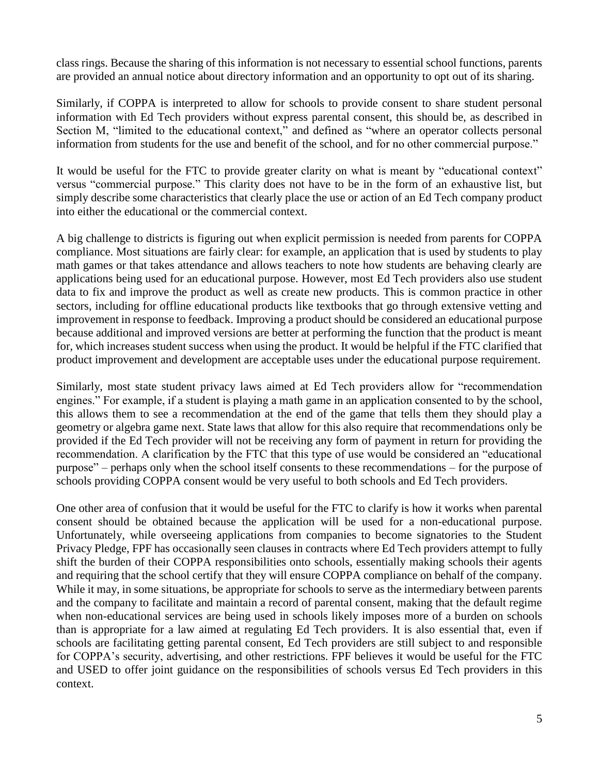class rings. Because the sharing of this information is not necessary to essential school functions, parents are provided an annual notice about directory information and an opportunity to opt out of its sharing.

Similarly, if COPPA is interpreted to allow for schools to provide consent to share student personal information with Ed Tech providers without express parental consent, this should be, as described in Section M, "limited to the educational context," and defined as "where an operator collects personal information from students for the use and benefit of the school, and for no other commercial purpose."

It would be useful for the FTC to provide greater clarity on what is meant by "educational context" versus "commercial purpose." This clarity does not have to be in the form of an exhaustive list, but simply describe some characteristics that clearly place the use or action of an Ed Tech company product into either the educational or the commercial context.

A big challenge to districts is figuring out when explicit permission is needed from parents for COPPA compliance. Most situations are fairly clear: for example, an application that is used by students to play math games or that takes attendance and allows teachers to note how students are behaving clearly are applications being used for an educational purpose. However, most Ed Tech providers also use student data to fix and improve the product as well as create new products. This is common practice in other sectors, including for offline educational products like textbooks that go through extensive vetting and improvement in response to feedback. Improving a product should be considered an educational purpose because additional and improved versions are better at performing the function that the product is meant for, which increases student success when using the product. It would be helpful if the FTC clarified that product improvement and development are acceptable uses under the educational purpose requirement.

Similarly, most state student privacy laws aimed at Ed Tech providers allow for "recommendation engines." For example, if a student is playing a math game in an application consented to by the school, this allows them to see a recommendation at the end of the game that tells them they should play a geometry or algebra game next. State laws that allow for this also require that recommendations only be provided if the Ed Tech provider will not be receiving any form of payment in return for providing the recommendation. A clarification by the FTC that this type of use would be considered an "educational purpose" – perhaps only when the school itself consents to these recommendations – for the purpose of schools providing COPPA consent would be very useful to both schools and Ed Tech providers.

One other area of confusion that it would be useful for the FTC to clarify is how it works when parental consent should be obtained because the application will be used for a non-educational purpose. Unfortunately, while overseeing applications from companies to become signatories to the Student Privacy Pledge, FPF has occasionally seen clauses in contracts where Ed Tech providers attempt to fully shift the burden of their COPPA responsibilities onto schools, essentially making schools their agents and requiring that the school certify that they will ensure COPPA compliance on behalf of the company. While it may, in some situations, be appropriate for schools to serve as the intermediary between parents and the company to facilitate and maintain a record of parental consent, making that the default regime when non-educational services are being used in schools likely imposes more of a burden on schools than is appropriate for a law aimed at regulating Ed Tech providers. It is also essential that, even if schools are facilitating getting parental consent, Ed Tech providers are still subject to and responsible for COPPA's security, advertising, and other restrictions. FPF believes it would be useful for the FTC and USED to offer joint guidance on the responsibilities of schools versus Ed Tech providers in this context.